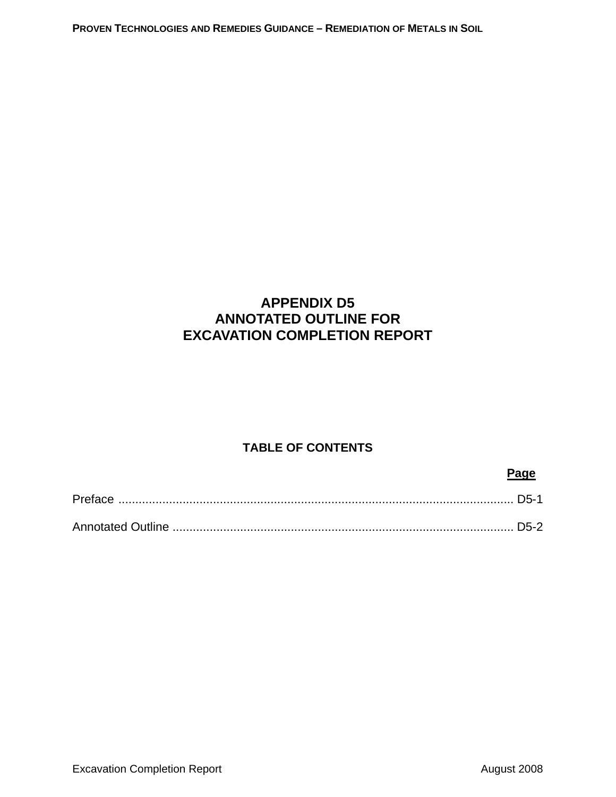**PROVEN TECHNOLOGIES AND REMEDIES GUIDANCE – REMEDIATION OF METALS IN SOIL**

# **APPENDIX D5 ANNOTATED OUTLINE FOR EXCAVATION COMPLETION REPORT**

# **TABLE OF CONTENTS**

#### **Page**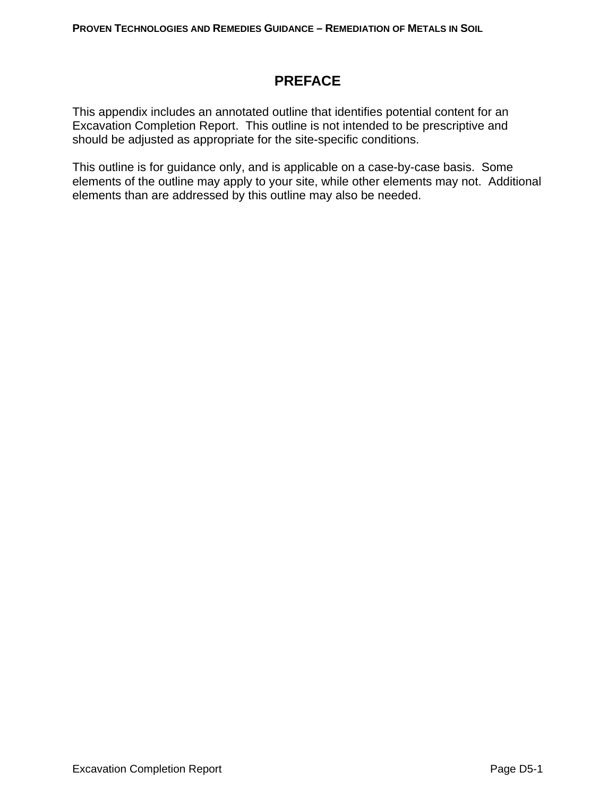# **PREFACE**

This appendix includes an annotated outline that identifies potential content for an Excavation Completion Report. This outline is not intended to be prescriptive and should be adjusted as appropriate for the site-specific conditions.

This outline is for guidance only, and is applicable on a case-by-case basis. Some elements of the outline may apply to your site, while other elements may not. Additional elements than are addressed by this outline may also be needed.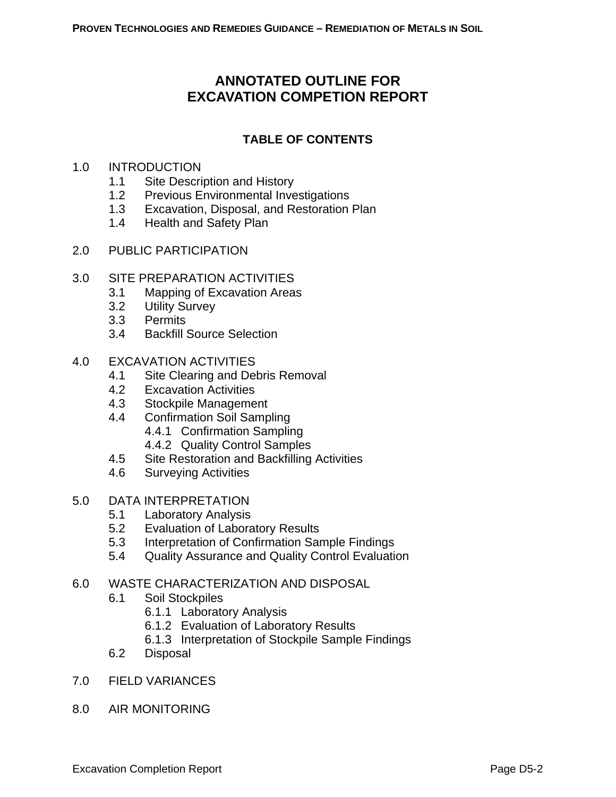# **ANNOTATED OUTLINE FOR EXCAVATION COMPETION REPORT**

# **TABLE OF CONTENTS**

#### 1.0 INTRODUCTION

- 1.1 Site Description and History
- 1.2 Previous Environmental Investigations
- 1.3 Excavation, Disposal, and Restoration Plan
- 1.4 Health and Safety Plan
- 2.0 PUBLIC PARTICIPATION

### 3.0 SITE PREPARATION ACTIVITIES

- 3.1 Mapping of Excavation Areas
- 3.2 Utility Survey
- 3.3 Permits
- 3.4 Backfill Source Selection

### 4.0 EXCAVATION ACTIVITIES

- 4.1 Site Clearing and Debris Removal
- 4.2 Excavation Activities
- 4.3 Stockpile Management
- 4.4 Confirmation Soil Sampling
	- 4.4.1 Confirmation Sampling
	- 4.4.2 Quality Control Samples
- 4.5 Site Restoration and Backfilling Activities
- 4.6 Surveying Activities

# 5.0 DATA INTERPRETATION

- 5.1 Laboratory Analysis
- 5.2 Evaluation of Laboratory Results
- 5.3 Interpretation of Confirmation Sample Findings
- 5.4 Quality Assurance and Quality Control Evaluation

#### 6.0 WASTE CHARACTERIZATION AND DISPOSAL

- 6.1 Soil Stockpiles
	- 6.1.1 Laboratory Analysis
	- 6.1.2 Evaluation of Laboratory Results
	- 6.1.3 Interpretation of Stockpile Sample Findings
- 6.2 Disposal
- 7.0 FIELD VARIANCES
- 8.0 AIR MONITORING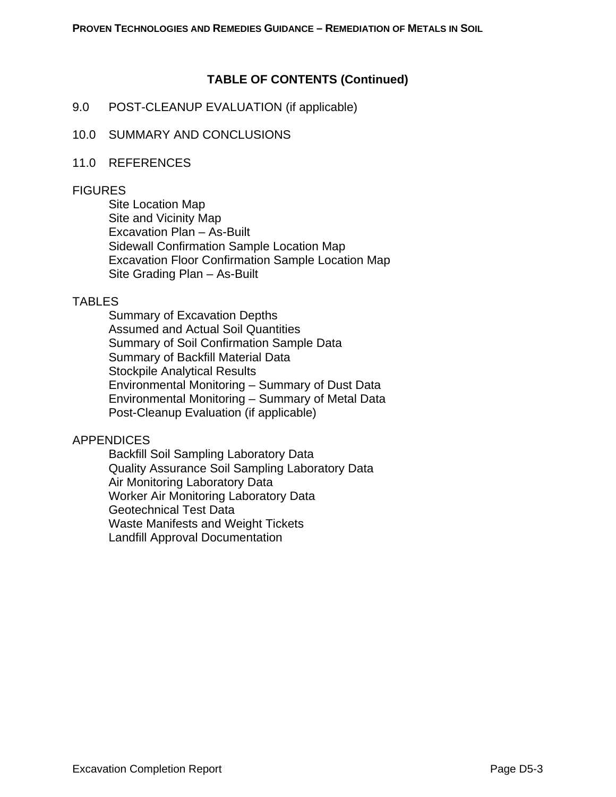# **TABLE OF CONTENTS (Continued)**

#### 9.0 POST-CLEANUP EVALUATION (if applicable)

#### 10.0 SUMMARY AND CONCLUSIONS

#### 11.0 REFERENCES

#### **FIGURES**

Site Location Map Site and Vicinity Map Excavation Plan – As-Built Sidewall Confirmation Sample Location Map Excavation Floor Confirmation Sample Location Map Site Grading Plan – As-Built

#### TABLES

Summary of Excavation Depths Assumed and Actual Soil Quantities Summary of Soil Confirmation Sample Data Summary of Backfill Material Data Stockpile Analytical Results Environmental Monitoring – Summary of Dust Data Environmental Monitoring – Summary of Metal Data Post-Cleanup Evaluation (if applicable)

#### APPENDICES

Backfill Soil Sampling Laboratory Data Quality Assurance Soil Sampling Laboratory Data Air Monitoring Laboratory Data Worker Air Monitoring Laboratory Data Geotechnical Test Data Waste Manifests and Weight Tickets Landfill Approval Documentation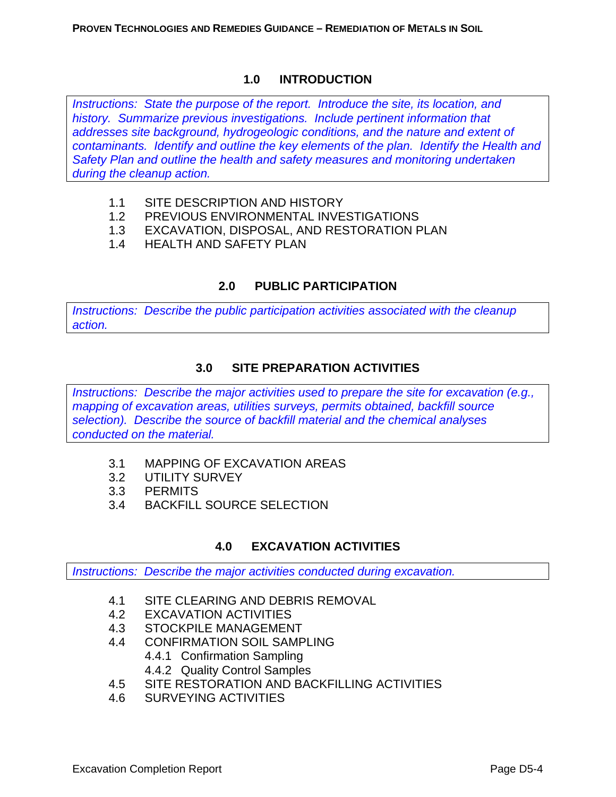### **1.0 INTRODUCTION**

*Instructions: State the purpose of the report. Introduce the site, its location, and history. Summarize previous investigations. Include pertinent information that addresses site background, hydrogeologic conditions, and the nature and extent of contaminants. Identify and outline the key elements of the plan. Identify the Health and Safety Plan and outline the health and safety measures and monitoring undertaken during the cleanup action.* 

- 1.1 SITE DESCRIPTION AND HISTORY
- 1.2 PREVIOUS ENVIRONMENTAL INVESTIGATIONS
- 1.3 EXCAVATION, DISPOSAL, AND RESTORATION PLAN
- 1.4 HEALTH AND SAFETY PLAN

# **2.0 PUBLIC PARTICIPATION**

*Instructions: Describe the public participation activities associated with the cleanup action.* 

# **3.0 SITE PREPARATION ACTIVITIES**

*Instructions: Describe the major activities used to prepare the site for excavation (e.g., mapping of excavation areas, utilities surveys, permits obtained, backfill source selection). Describe the source of backfill material and the chemical analyses conducted on the material.* 

- 3.1 MAPPING OF EXCAVATION AREAS
- 3.2 UTILITY SURVEY
- 3.3 PERMITS
- 3.4 BACKFILL SOURCE SELECTION

# **4.0 EXCAVATION ACTIVITIES**

*Instructions: Describe the major activities conducted during excavation.* 

- 4.1 SITE CLEARING AND DEBRIS REMOVAL
- 4.2 EXCAVATION ACTIVITIES
- 4.3 STOCKPILE MANAGEMENT
- 4.4 CONFIRMATION SOIL SAMPLING
	- 4.4.1 Confirmation Sampling
	- 4.4.2 Quality Control Samples
- 4.5 SITE RESTORATION AND BACKFILLING ACTIVITIES
- 4.6 SURVEYING ACTIVITIES